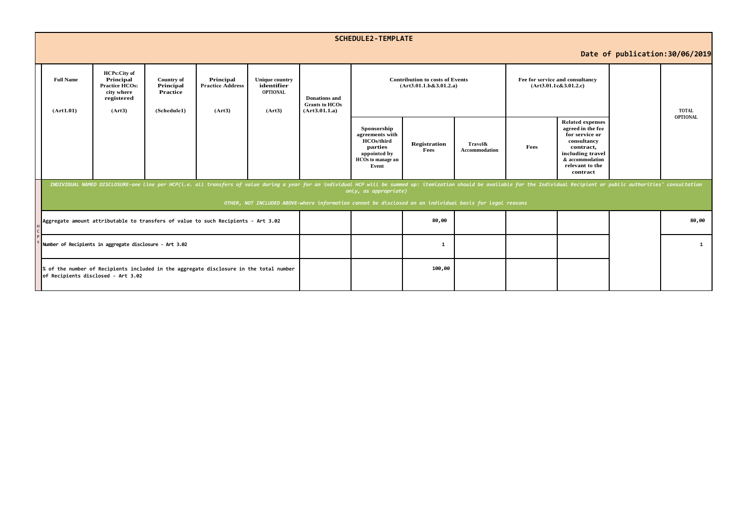|                                 | <b>SCHEDULE2-TEMPLATE</b>                                                                                                    |                                                                                                                                                                                                                                                                                                                                                                     |                                                    |                                                |                                                           |                                                                |                                                                                                              |                             |                                 |                                                          |                                                                                                                                                                  |  |                 |  |
|---------------------------------|------------------------------------------------------------------------------------------------------------------------------|---------------------------------------------------------------------------------------------------------------------------------------------------------------------------------------------------------------------------------------------------------------------------------------------------------------------------------------------------------------------|----------------------------------------------------|------------------------------------------------|-----------------------------------------------------------|----------------------------------------------------------------|--------------------------------------------------------------------------------------------------------------|-----------------------------|---------------------------------|----------------------------------------------------------|------------------------------------------------------------------------------------------------------------------------------------------------------------------|--|-----------------|--|
| Date of publication: 30/06/2019 |                                                                                                                              |                                                                                                                                                                                                                                                                                                                                                                     |                                                    |                                                |                                                           |                                                                |                                                                                                              |                             |                                 |                                                          |                                                                                                                                                                  |  |                 |  |
|                                 | <b>Full Name</b><br>(Art1.01)                                                                                                | <b>HCPs:City of</b><br>Principal<br><b>Practice HCOs:</b><br>city where<br>registered<br>(Art3)                                                                                                                                                                                                                                                                     | Country of<br>Principal<br>Practice<br>(Schedule1) | Principal<br><b>Practice Address</b><br>(Art3) | <b>Unique country</b><br>identifier<br>OPTIONAL<br>(Art3) | <b>Donations</b> and<br><b>Grants to HCOs</b><br>(Art3.01.1.a) | <b>Contribution to costs of Events</b><br>(Art3.01.1.b&3.01.2.a)                                             |                             |                                 | Fee for service and consultancy<br>(Art3.01.1c&3.01.2.c) |                                                                                                                                                                  |  | <b>TOTAL</b>    |  |
|                                 |                                                                                                                              |                                                                                                                                                                                                                                                                                                                                                                     |                                                    |                                                |                                                           |                                                                | Sponsorship<br>agreements with<br><b>HCOs/third</b><br>parties<br>appointed by<br>HCOs to manage an<br>Event | <b>Registration</b><br>Fees | Travel&<br><b>Accommodation</b> | Fees                                                     | <b>Related expenses</b><br>agreed in the fee<br>for service or<br>consultancy<br>contract,<br>including travel<br>& accommodation<br>relevant to the<br>contract |  | <b>OPTIONAL</b> |  |
|                                 |                                                                                                                              | INDIVIDUAL NAMED DISCLOSURE-one line per HCP(i.e. all transfers of value during a year for an individual HCP will be summed up: itemization should be available for the Individual Recipient or public authorities' consultati<br>only, as appropriate)<br>OTHER, NOT INCLUDED ABOVE-where information cannot be disclosed on an individual basis for legal reasons |                                                    |                                                |                                                           |                                                                |                                                                                                              |                             |                                 |                                                          |                                                                                                                                                                  |  |                 |  |
|                                 | Aggregate amount attributable to transfers of value to such Recipients - Art 3.02                                            |                                                                                                                                                                                                                                                                                                                                                                     |                                                    |                                                |                                                           |                                                                |                                                                                                              | 80,00                       |                                 |                                                          |                                                                                                                                                                  |  | 80,00           |  |
|                                 | Number of Recipients in aggregate disclosure - Art 3.02                                                                      |                                                                                                                                                                                                                                                                                                                                                                     |                                                    |                                                |                                                           |                                                                |                                                                                                              | 1                           |                                 |                                                          |                                                                                                                                                                  |  | $\mathbf{1}$    |  |
|                                 | % of the number of Recipients included in the aggregate disclosure in the total number<br>of Recipients disclosed - Art 3.02 |                                                                                                                                                                                                                                                                                                                                                                     |                                                    |                                                |                                                           |                                                                |                                                                                                              | 100,00                      |                                 |                                                          |                                                                                                                                                                  |  |                 |  |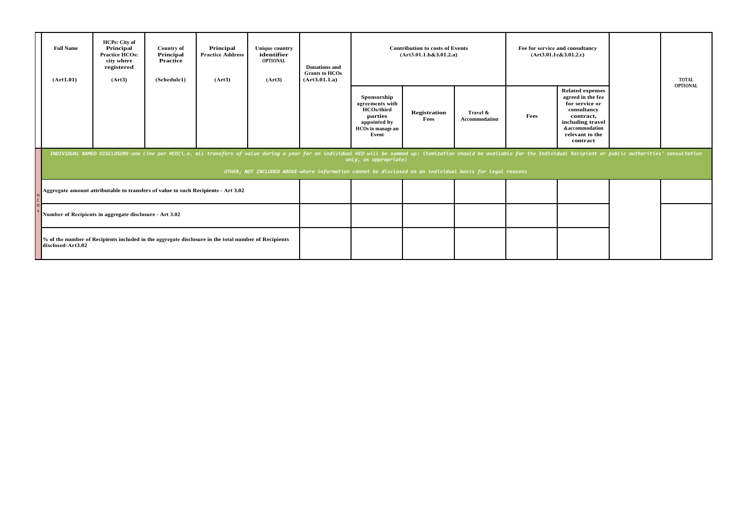| <b>Full Name</b><br>(Art1.01)                                                                                                                                                                                                                           | <b>HCPs:</b> City of<br>Principal<br><b>Practice HCOs:</b><br>city where<br>registered<br>(Art3) | <b>Country of</b><br>Principal<br>Practice<br>(Schedule1) | Principal<br><b>Practice Address</b><br>(Art3) | <b>Unique country</b><br>identifier<br><b>OPTIONAL</b><br>(Art3) | <b>Donations</b> and<br><b>Grants to HCOs</b><br>(Art3.01.1.a) | <b>Contribution to costs of Events</b><br>(Art3.01.1.b&3.01.2.a)                                             |                             |                           | Fee for service and consultancy<br>(Art3.01.1c&3.01.2.c) |                                                                                                                                                                 |  | <b>TOTAL</b>    |
|---------------------------------------------------------------------------------------------------------------------------------------------------------------------------------------------------------------------------------------------------------|--------------------------------------------------------------------------------------------------|-----------------------------------------------------------|------------------------------------------------|------------------------------------------------------------------|----------------------------------------------------------------|--------------------------------------------------------------------------------------------------------------|-----------------------------|---------------------------|----------------------------------------------------------|-----------------------------------------------------------------------------------------------------------------------------------------------------------------|--|-----------------|
|                                                                                                                                                                                                                                                         |                                                                                                  |                                                           |                                                |                                                                  |                                                                | Sponsorship<br>agreements with<br><b>HCOs/third</b><br>parties<br>appointed by<br>HCOs to manage an<br>Event | <b>Registration</b><br>Fees | Travel &<br>Accommodation | Fees                                                     | <b>Related expenses</b><br>agreed in the fee<br>for service or<br>consultancy<br>contract,<br>including travel<br>&accommodation<br>relevant to the<br>contract |  | <b>OPTIONAL</b> |
| INDIVIDUAL NAMED DISCLOSURE-one line per HCO(i.e. all transfers of value during a year for an individual HCO will be summed up: itemization should be available for the Individual Recipient or public authorities' consultati<br>only, as appropriate) |                                                                                                  |                                                           |                                                |                                                                  |                                                                |                                                                                                              |                             |                           |                                                          |                                                                                                                                                                 |  |                 |
| OTHER, NOT INCLUDED ABOVE-where information cannot be disclosed on an individual basis for legal reasons                                                                                                                                                |                                                                                                  |                                                           |                                                |                                                                  |                                                                |                                                                                                              |                             |                           |                                                          |                                                                                                                                                                 |  |                 |
|                                                                                                                                                                                                                                                         | Aggregate amount attributable to transfers of value to such Recipients - Art 3.02                |                                                           |                                                |                                                                  |                                                                |                                                                                                              |                             |                           |                                                          |                                                                                                                                                                 |  |                 |
| Number of Recipients in aggregate disclosure - Art 3.02                                                                                                                                                                                                 |                                                                                                  |                                                           |                                                |                                                                  |                                                                |                                                                                                              |                             |                           |                                                          |                                                                                                                                                                 |  |                 |
| % of the number of Recipients included in the aggregate disclosure in the total number of Recipients<br>disclosed-Art3.02                                                                                                                               |                                                                                                  |                                                           |                                                |                                                                  |                                                                |                                                                                                              |                             |                           |                                                          |                                                                                                                                                                 |  |                 |